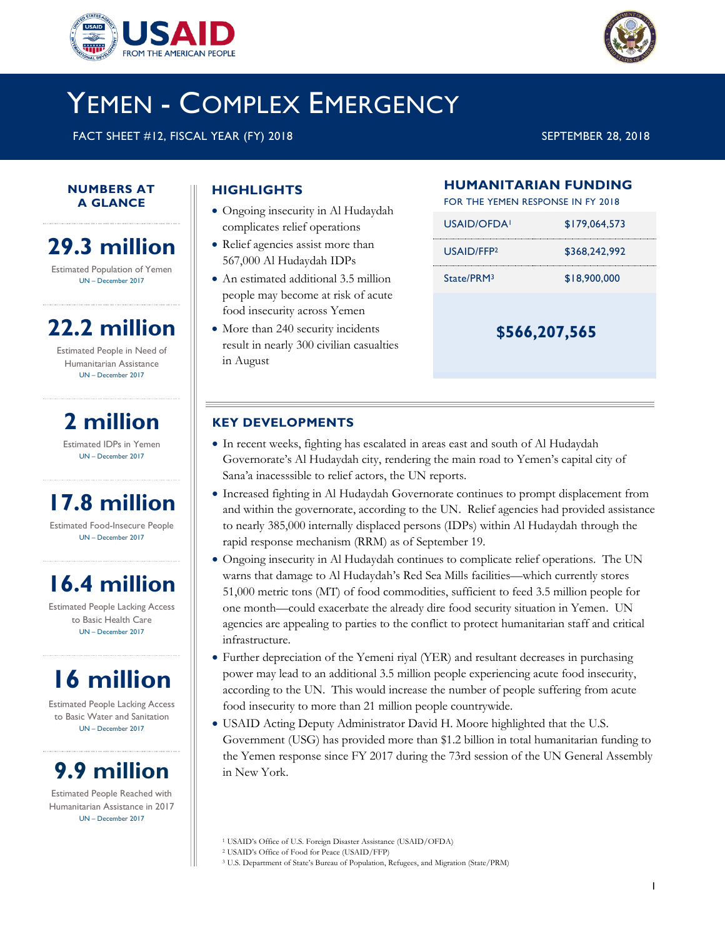



# YEMEN - COMPLEX EMERGENCY

FACT SHEET #12, FISCAL YEAR (FY) 2018 SEPTEMBER 28, 2018

#### **NUMBERS AT A GLANCE**

20182018

## **29.3 million**

Estimated Population of Yemen UN – December 2017

# **22.2 million**

Estimated People in Need of Humanitarian Assistance UN – December 2017

## **2 million**

Estimated IDPs in Yemen UN – December 2017

# **17.8 million**

Estimated Food-Insecure People UN – December 2017

# **16.4 million**

Estimated People Lacking Access to Basic Health Care UN – December 2017

# **16 million**

Estimated People Lacking Access to Basic Water and Sanitation UN – December 2017

## **9.9 million**

Estimated People Reached with Humanitarian Assistance in 2017 UN – December 2017

## **HIGHLIGHTS**

- Ongoing insecurity in Al Hudaydah complicates relief operations
- Relief agencies assist more than 567,000 Al Hudaydah IDPs
- An estimated additional 3.5 million people may become at risk of acute food insecurity across Yemen
- More than 240 security incidents result in nearly 300 civilian casualties in August

### **HUMANITARIAN FUNDING**

FOR THE YEMEN RESPONSE IN FY 2018

**\$566,207,565**

### **KEY DEVELOPMENTS**

- In recent weeks, fighting has escalated in areas east and south of Al Hudaydah Governorate's Al Hudaydah city, rendering the main road to Yemen's capital city of Sana'a inacesssible to relief actors, the UN reports.
- Increased fighting in Al Hudaydah Governorate continues to prompt displacement from and within the governorate, according to the UN. Relief agencies had provided assistance to nearly 385,000 internally displaced persons (IDPs) within Al Hudaydah through the rapid response mechanism (RRM) as of September 19.
- Ongoing insecurity in Al Hudaydah continues to complicate relief operations. The UN warns that damage to Al Hudaydah's Red Sea Mills facilities—which currently stores 51,000 metric tons (MT) of food commodities, sufficient to feed 3.5 million people for one month—could exacerbate the already dire food security situation in Yemen. UN agencies are appealing to parties to the conflict to protect humanitarian staff and critical infrastructure.
- Further depreciation of the Yemeni riyal (YER) and resultant decreases in purchasing power may lead to an additional 3.5 million people experiencing acute food insecurity, according to the UN. This would increase the number of people suffering from acute food insecurity to more than 21 million people countrywide.
- USAID Acting Deputy Administrator David H. Moore highlighted that the U.S. Government (USG) has provided more than \$1.2 billion in total humanitarian funding to the Yemen response since FY 2017 during the 73rd session of the UN General Assembly in New York.

<sup>1</sup> USAID's Office of U.S. Foreign Disaster Assistance (USAID/OFDA)

<sup>2</sup> USAID's Office of Food for Peace (USAID/FFP)

<sup>3</sup> U.S. Department of State's Bureau of Population, Refugees, and Migration (State/PRM)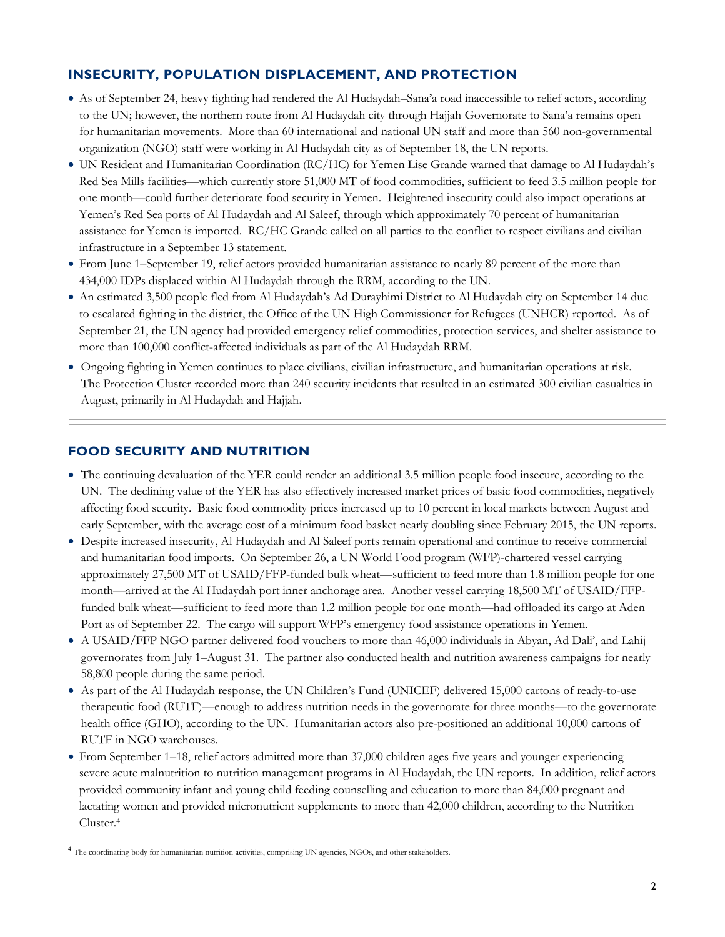### **INSECURITY, POPULATION DISPLACEMENT, AND PROTECTION**

- As of September 24, heavy fighting had rendered the Al Hudaydah–Sana'a road inaccessible to relief actors, according to the UN; however, the northern route from Al Hudaydah city through Hajjah Governorate to Sana'a remains open for humanitarian movements. More than 60 international and national UN staff and more than 560 non-governmental organization (NGO) staff were working in Al Hudaydah city as of September 18, the UN reports.
- UN Resident and Humanitarian Coordination (RC/HC) for Yemen Lise Grande warned that damage to Al Hudaydah's Red Sea Mills facilities—which currently store 51,000 MT of food commodities, sufficient to feed 3.5 million people for one month—could further deteriorate food security in Yemen. Heightened insecurity could also impact operations at Yemen's Red Sea ports of Al Hudaydah and Al Saleef, through which approximately 70 percent of humanitarian assistance for Yemen is imported. RC/HC Grande called on all parties to the conflict to respect civilians and civilian infrastructure in a September 13 statement.
- From June 1–September 19, relief actors provided humanitarian assistance to nearly 89 percent of the more than 434,000 IDPs displaced within Al Hudaydah through the RRM, according to the UN.
- An estimated 3,500 people fled from Al Hudaydah's Ad Durayhimi District to Al Hudaydah city on September 14 due to escalated fighting in the district, the Office of the UN High Commissioner for Refugees (UNHCR) reported. As of September 21, the UN agency had provided emergency relief commodities, protection services, and shelter assistance to more than 100,000 conflict-affected individuals as part of the Al Hudaydah RRM.
- Ongoing fighting in Yemen continues to place civilians, civilian infrastructure, and humanitarian operations at risk. The Protection Cluster recorded more than 240 security incidents that resulted in an estimated 300 civilian casualties in August, primarily in Al Hudaydah and Hajjah.

#### **FOOD SECURITY AND NUTRITION**

- The continuing devaluation of the YER could render an additional 3.5 million people food insecure, according to the UN. The declining value of the YER has also effectively increased market prices of basic food commodities, negatively affecting food security. Basic food commodity prices increased up to 10 percent in local markets between August and early September, with the average cost of a minimum food basket nearly doubling since February 2015, the UN reports.
- Despite increased insecurity, Al Hudaydah and Al Saleef ports remain operational and continue to receive commercial and humanitarian food imports. On September 26, a UN World Food program (WFP)-chartered vessel carrying approximately 27,500 MT of USAID/FFP-funded bulk wheat—sufficient to feed more than 1.8 million people for one month—arrived at the Al Hudaydah port inner anchorage area. Another vessel carrying 18,500 MT of USAID/FFPfunded bulk wheat—sufficient to feed more than 1.2 million people for one month—had offloaded its cargo at Aden Port as of September 22. The cargo will support WFP's emergency food assistance operations in Yemen.
- A USAID/FFP NGO partner delivered food vouchers to more than 46,000 individuals in Abyan, Ad Dali', and Lahij governorates from July 1–August 31. The partner also conducted health and nutrition awareness campaigns for nearly 58,800 people during the same period.
- As part of the Al Hudaydah response, the UN Children's Fund (UNICEF) delivered 15,000 cartons of ready-to-use therapeutic food (RUTF)—enough to address nutrition needs in the governorate for three months—to the governorate health office (GHO), according to the UN. Humanitarian actors also pre-positioned an additional 10,000 cartons of RUTF in NGO warehouses.
- From September 1–18, relief actors admitted more than 37,000 children ages five years and younger experiencing severe acute malnutrition to nutrition management programs in Al Hudaydah, the UN reports. In addition, relief actors provided community infant and young child feeding counselling and education to more than 84,000 pregnant and lactating women and provided micronutrient supplements to more than 42,000 children, according to the Nutrition Cluster. 4

<sup>&</sup>lt;sup>4</sup> The coordinating body for humanitarian nutrition activities, comprising UN agencies, NGOs, and other stakeholders.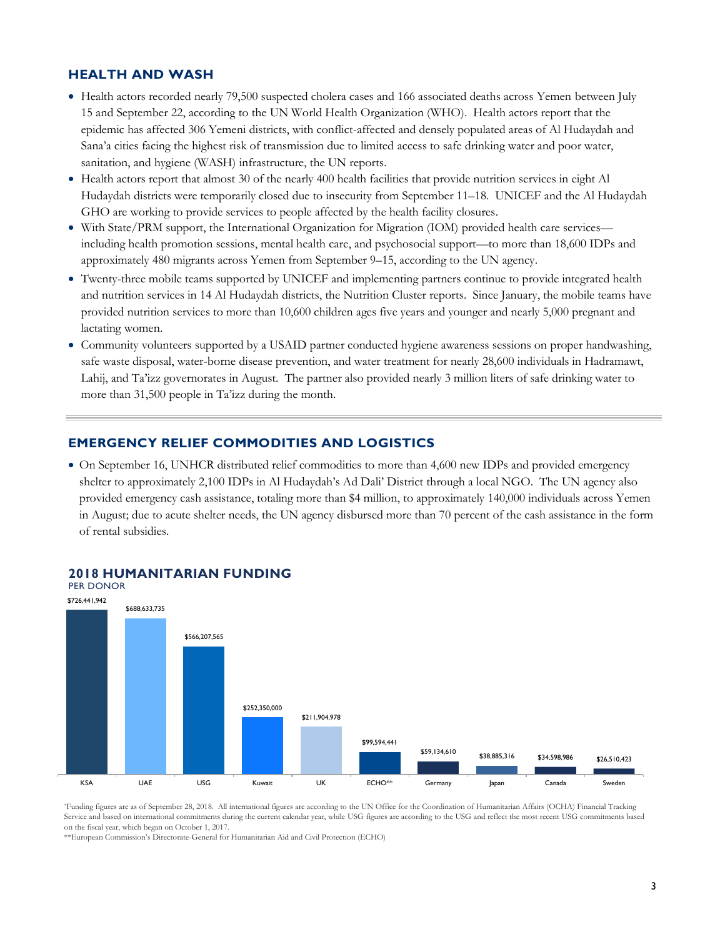#### **HEALTH AND WASH**

- Health actors recorded nearly 79,500 suspected cholera cases and 166 associated deaths across Yemen between July 15 and September 22, according to the UN World Health Organization (WHO). Health actors report that the epidemic has affected 306 Yemeni districts, with conflict-affected and densely populated areas of Al Hudaydah and Sana'a cities facing the highest risk of transmission due to limited access to safe drinking water and poor water, sanitation, and hygiene (WASH) infrastructure, the UN reports.
- Health actors report that almost 30 of the nearly 400 health facilities that provide nutrition services in eight Al Hudaydah districts were temporarily closed due to insecurity from September 11–18. UNICEF and the Al Hudaydah GHO are working to provide services to people affected by the health facility closures.
- With State/PRM support, the International Organization for Migration (IOM) provided health care services including health promotion sessions, mental health care, and psychosocial support—to more than 18,600 IDPs and approximately 480 migrants across Yemen from September 9–15, according to the UN agency.
- Twenty-three mobile teams supported by UNICEF and implementing partners continue to provide integrated health and nutrition services in 14 Al Hudaydah districts, the Nutrition Cluster reports. Since January, the mobile teams have provided nutrition services to more than 10,600 children ages five years and younger and nearly 5,000 pregnant and lactating women.
- Community volunteers supported by a USAID partner conducted hygiene awareness sessions on proper handwashing, safe waste disposal, water-borne disease prevention, and water treatment for nearly 28,600 individuals in Hadramawt, Lahij, and Ta'izz governorates in August. The partner also provided nearly 3 million liters of safe drinking water to more than 31,500 people in Ta'izz during the month.

#### **EMERGENCY RELIEF COMMODITIES AND LOGISTICS**

 On September 16, UNHCR distributed relief commodities to more than 4,600 new IDPs and provided emergency shelter to approximately 2,100 IDPs in Al Hudaydah's Ad Dali' District through a local NGO. The UN agency also provided emergency cash assistance, totaling more than \$4 million, to approximately 140,000 individuals across Yemen in August; due to acute shelter needs, the UN agency disbursed more than 70 percent of the cash assistance in the form of rental subsidies.



#### **2018 HUMANITARIAN FUNDING**

\*Funding figures are as of September 28, 2018. All international figures are according to the UN Office for the Coordination of Humanitarian Affairs (OCHA) Financial Tracking Service and based on international commitments during the current calendar year, while USG figures are according to the USG and reflect the most recent USG commitments based on the fiscal year, which began on October 1, 2017.

\*\*European Commission's Directorate-General for Humanitarian Aid and Civil Protection (ECHO)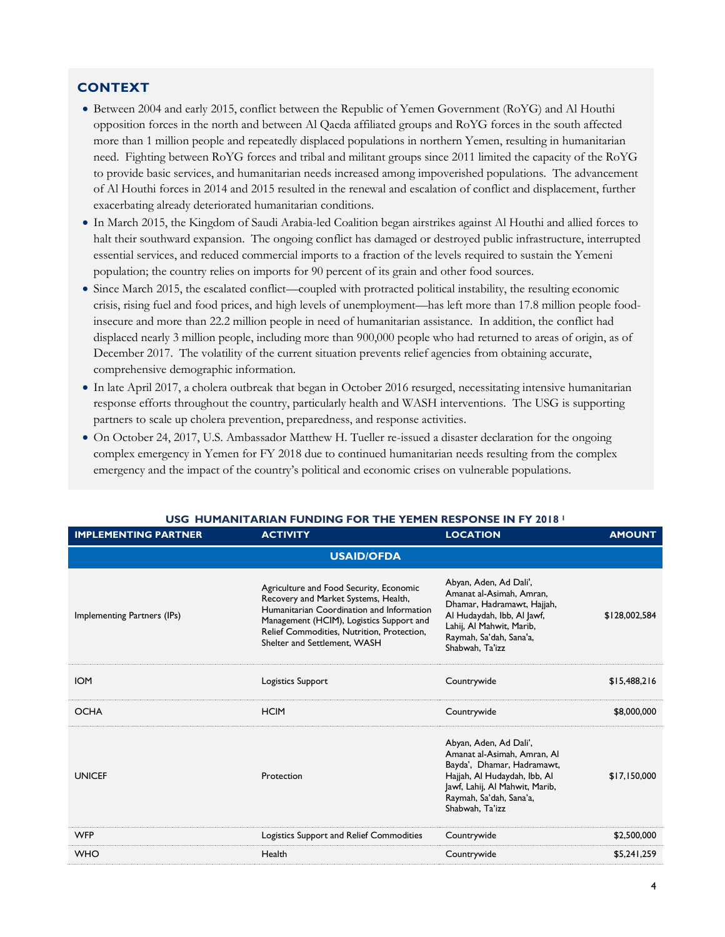### **CONTEXT**

- Between 2004 and early 2015, conflict between the Republic of Yemen Government (RoYG) and Al Houthi opposition forces in the north and between Al Qaeda affiliated groups and RoYG forces in the south affected more than 1 million people and repeatedly displaced populations in northern Yemen, resulting in humanitarian need. Fighting between RoYG forces and tribal and militant groups since 2011 limited the capacity of the RoYG to provide basic services, and humanitarian needs increased among impoverished populations. The advancement of Al Houthi forces in 2014 and 2015 resulted in the renewal and escalation of conflict and displacement, further exacerbating already deteriorated humanitarian conditions.
- In March 2015, the Kingdom of Saudi Arabia-led Coalition began airstrikes against Al Houthi and allied forces to halt their southward expansion. The ongoing conflict has damaged or destroyed public infrastructure, interrupted essential services, and reduced commercial imports to a fraction of the levels required to sustain the Yemeni population; the country relies on imports for 90 percent of its grain and other food sources.
- Since March 2015, the escalated conflict—coupled with protracted political instability, the resulting economic crisis, rising fuel and food prices, and high levels of unemployment—has left more than 17.8 million people foodinsecure and more than 22.2 million people in need of humanitarian assistance. In addition, the conflict had displaced nearly 3 million people, including more than 900,000 people who had returned to areas of origin, as of December 2017. The volatility of the current situation prevents relief agencies from obtaining accurate, comprehensive demographic information.
- In late April 2017, a cholera outbreak that began in October 2016 resurged, necessitating intensive humanitarian response efforts throughout the country, particularly health and WASH interventions. The USG is supporting partners to scale up cholera prevention, preparedness, and response activities.
- On October 24, 2017, U.S. Ambassador Matthew H. Tueller re-issued a disaster declaration for the ongoing complex emergency in Yemen for FY 2018 due to continued humanitarian needs resulting from the complex emergency and the impact of the country's political and economic crises on vulnerable populations.

| <b>IMPLEMENTING PARTNER</b> | <b>ACTIVITY</b>                                                                                                                                                                                                                                        | <b>LOCATION</b>                                                                                                                                                                                     | <b>AMOUNT</b> |  |  |
|-----------------------------|--------------------------------------------------------------------------------------------------------------------------------------------------------------------------------------------------------------------------------------------------------|-----------------------------------------------------------------------------------------------------------------------------------------------------------------------------------------------------|---------------|--|--|
| <b>USAID/OFDA</b>           |                                                                                                                                                                                                                                                        |                                                                                                                                                                                                     |               |  |  |
| Implementing Partners (IPs) | Agriculture and Food Security, Economic<br>Recovery and Market Systems, Health,<br>Humanitarian Coordination and Information<br>Management (HCIM), Logistics Support and<br>Relief Commodities, Nutrition, Protection,<br>Shelter and Settlement, WASH | Abyan, Aden, Ad Dali',<br>Amanat al-Asimah, Amran,<br>Dhamar, Hadramawt, Hajjah,<br>Al Hudaydah, Ibb, Al Jawf,<br>Lahij, Al Mahwit, Marib,<br>Raymah, Sa'dah, Sana'a,<br>Shabwah, Ta'izz            | \$128,002,584 |  |  |
| <b>IOM</b>                  | Logistics Support                                                                                                                                                                                                                                      | Countrywide                                                                                                                                                                                         | \$15,488,216  |  |  |
| <b>OCHA</b>                 | <b>HCIM</b>                                                                                                                                                                                                                                            | Countrywide                                                                                                                                                                                         | \$8,000,000   |  |  |
| <b>UNICEF</b>               | Protection                                                                                                                                                                                                                                             | Abyan, Aden, Ad Dali',<br>Amanat al-Asimah, Amran, Al<br>Bayda', Dhamar, Hadramawt,<br>Hajjah, Al Hudaydah, Ibb, Al<br>Jawf, Lahij, Al Mahwit, Marib,<br>Raymah, Sa'dah, Sana'a,<br>Shabwah, Ta'izz | \$17,150,000  |  |  |
| <b>WFP</b>                  | Logistics Support and Relief Commodities                                                                                                                                                                                                               | Countrywide                                                                                                                                                                                         | \$2,500,000   |  |  |
| <b>WHO</b>                  | Health                                                                                                                                                                                                                                                 | Countrywide                                                                                                                                                                                         | \$5,241,259   |  |  |

#### **USG HUMANITARIAN FUNDING FOR THE YEMEN RESPONSE IN FY 2018 <sup>1</sup>**